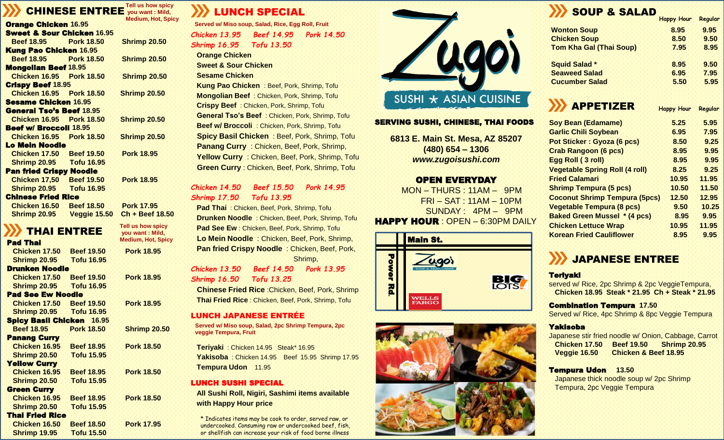#### **Tell us how spicy CHINESE ENTREE** you want : Mild, **Hot, Spicy**

|                                       |                   | Medium, Hot, Spid   |
|---------------------------------------|-------------------|---------------------|
| <b>Orange Chicken 16.95</b>           |                   |                     |
| <b>Sweet &amp; Sour Chicken 16.95</b> |                   |                     |
| <b>Beef 18.95 Pork 18.50</b>          |                   | <b>Shrimp 20.50</b> |
| <b>Kung Pao Chicken 16.95</b>         |                   |                     |
| <b>Beef 18.95 Pork 18.50</b>          |                   | <b>Shrimp 20.50</b> |
| <b>Mongolian Beef 18.95</b>           |                   |                     |
| <b>Chicken 16.95 Pork 18.50</b>       |                   | <b>Shrimp 20.50</b> |
| <b>Crispy Beef 18.95</b>              |                   |                     |
| <b>Chicken 16.95 Pork 18.50</b>       |                   | <b>Shrimp 20.50</b> |
| <b>Sesame Chicken 16.95</b>           |                   |                     |
| <b>General Tso's Beef 18.95</b>       |                   |                     |
| <b>Chicken 16.95 Pork 18.50</b>       |                   | <b>Shrimp 20.50</b> |
| <b>Beef w/ Broccoll 18.95</b>         |                   |                     |
| <b>Chicken 16.95 Pork 18.50</b>       |                   | <b>Shrimp 20.50</b> |
| Lo Mein Noodle                        |                   |                     |
| <b>Chicken 17.50 Beef 19.50</b>       |                   | <b>Pork 18.95</b>   |
| <b>Shrimp 20.95 Tofu 16.95</b>        |                   |                     |
| <b>Pan fried Crispy Noodle</b>        |                   |                     |
| <b>Chicken 17,50 Beef 19.50</b>       |                   | <b>Pork 18.95</b>   |
| <b>Shrimp 20.95 Tofu 16.95</b>        |                   |                     |
| <b>Chinese Fried Rice</b>             |                   |                     |
| Chicken 16.50                         | <b>Beef 18.50</b> | <b>Pork 17.95</b>   |
| <b>Shrimp 20.95</b>                   | Veggie 15.50      | Ch + Beef 18.50     |

**Pork 18.95** 

**Tell us how spicy you want : Mild, Medium, Hot, Spicy**

**Pork 18.95** 

**Pork 18.95** 

**Shrimp 20.50** 

**Pork 18.50** 

**Pork 18.50** 

**Pork 18.50** 

**Pork 17.95** 

## THAI ENTREE

|  |  | <b>Pad Thai</b> |  |  |
|--|--|-----------------|--|--|
|  |  |                 |  |  |

| Chicken 17.50<br><b>Shrimp 20.95</b>                        | <b>Beef 19.50</b><br>Tofu 16.95 |
|-------------------------------------------------------------|---------------------------------|
| Drunken Noodle<br>Chicken 17.50<br><b>Shrimp 20.95</b>      | <b>Beef 19.50</b><br>Tofu 16.95 |
| <b>Pad See Ew Noodle</b><br>Chicken 17.50                   | <b>Beef 19.50</b>               |
| <b>Shrimp 20.95</b><br><b>Spicy Basil Chicken</b>           | Tofu 16.95<br>16.95             |
| <b>Beef 18.95</b><br><b>Panang Curry</b>                    | <b>Pork 18.50</b>               |
| Chicken 16.95<br><b>Shrimp 20.50</b>                        | <b>Beef 18.95</b><br>Tofu 15.95 |
| <b>Yellow Curry</b><br>Chicken 16.95<br><b>Shrimp 20.50</b> | <b>Beef 18.95</b><br>Tofu 15.95 |
| <b>Green Curry</b><br>Chicken 16.95                         | <b>Beef 18.95</b>               |
| <b>Shrimp 20.50</b><br><b>Thai Fried Rice</b>               | <b>Tofu 15.95</b>               |
| Chicken 16.50<br><b>Shrimp 19.95</b>                        | <b>Beef 18.50</b><br>Tofu 15.50 |

## LUNCH SPECIAL

*Chicken 13.95 Beef 14.95 Pork 14.50 Shrimp 16.95 Tofu 13.50* **Orange Chicken Served w/ Miso soup, Salad, Rice, Egg Roll, Fruit**

**Sweet & Sour Chicken** 

**Sesame Chicken** 

**Kung Pao Chicken** : Beef, Pork, Shrimp, Tofu **Mongolian Beef** : Chicken, Pork, Shrimp, Tofu **Crispy Beef** : Chicken, Pork, Shrimp, Tofu **General Tso's Beef** : Chicken, Pork, Shrimp, Tofu **Beef w/ Broccoli** : Chicken, Pork, Shrimp, Tofu **Spicy Basil Chicken** : Beef, Pork, Shrimp, Tofu **Panang Curry** : Chicken, Beef, Pork, Shrimp, **Yellow Curry** : Chicken, Beef, Pork, Shrimp, Tofu **Green Curry** : Chicken, Beef, Pork, Shrimp, Tofu

#### *Chicken 14.50 Beef 15.50 Pork 14.95 Shrimp 17.50 Tofu 13.95*

**Pad Thai** : Chicken, Beef, Pork, Shrimp, Tofu **Drunken Noodle** : Chicken, Beef, Pork, Shrimp, Tofu **Pad See Ew** : Chicken, Beef, Pork, Shrimp, Tofu **Lo Mein Noodle** : Chicken, Beef, Pork, Shrimp, **Pan fried Crispy Noodle**: Chicken, Beef, Pork, Shrimp,

### *Chicken 13.50 Beef 14.50 Pork 13.95 Shrimp 16.50 Tofu 13.25*

**Chinese Fried Rice** :Chicken, Beef, Pork, Shrimp **Thai Fried Rice** : Chicken, Beef, Pork, Shrimp, Tofu

### LUNCH JAPANESE ENTRÉ E

**Served w/ Miso soup, Salad, 2pc Shrimp Tempura, 2pc veggie Tempura, Fruit**

**Teriyaki** : Chicken 14.95 Steak\* 16.95 **Yakisoba** : Chicken 14.95 Beef 15.95 Shrimp 17.95 **Tempura Udon** 11.95

### LUNCH SUSHI SPECIAL

**All Sushi Roll, Nigiri, Sashimi items available with Happy Hour price**

\* Indicates items may be cook to order, served raw, or undercooked. Consuming raw or undercooked beef, fish, or shellfish can increase your risk of food borne illness



### SERVING SUSHI, CHINESE, THAI FOODS

**6813 E. Main St. Mesa, AZ 85207 (480) 654 – 1306** *www.zugoisushi.com*

### OPEN EVERYDAY

MON – THURS : 11AM – 9PM FRI – SAT : 11AM – 10PM SUNDAY : 4PM – 9PM HAPPY HOUR : OPEN – 6:30PM DAILY





## SOUP & SALAD

| <b>Wonton Soup</b><br>8.95             | 9.95 |
|----------------------------------------|------|
| <b>Chicken Soup</b><br>8.50            | 9.50 |
| <b>Tom Kha Gal (Thai Soup)</b><br>7.95 | 8.95 |
| <b>Squid Salad *</b><br>8.95           | 9.50 |
| <b>Seaweed Salad</b><br>6.95           | 7.95 |
| 5.50<br><b>Cucumber Salad</b>          | 5.95 |

# APPETIZER **Happy Hour Regular**

| <b>Soy Bean (Edamame)</b>             | 5.25  | 5.95  |
|---------------------------------------|-------|-------|
| <b>Garlic Chili Soybean</b>           | 6.95  | 7.95  |
| Pot Sticker: Gyoza (6 pcs)            | 8.50  | 9.25  |
| <b>Crab Rangoon (6 pcs)</b>           | 8.95  | 9.95  |
| Egg Roll (3 roll)                     | 8.95  | 9.95  |
| <b>Vegetable Spring Roll (4 roll)</b> | 8.25  | 9.25  |
| <b>Fried Calamari</b>                 | 10.95 | 11.95 |
| <b>Shrimp Tempura (5 pcs)</b>         | 10.50 | 11.50 |
| <b>Coconut Shrimp Tempura (5pcs)</b>  | 12.50 | 12.95 |
| <b>Vegetable Tempura (8 pcs)</b>      | 9.50  | 10.25 |
| <b>Baked Green Mussel * (4 pcs)</b>   | 8.95  | 9.95  |
| <b>Chicken Lettuce Wrap</b>           | 10.95 | 11.95 |
| <b>Korean Fried Cauliflower</b>       | 8.95  | 9.95  |
|                                       |       |       |

## JAPANESE ENTREE

#### **Teriyaki**

served w/ Rice, 2pc Shrimp & 2pc VeggieTempura, **Chicken 18.95 Steak \* 21.95 Ch + Steak \* 21.95** 

#### Combination Tempura **17.50**

Served w/ Rice, 4pc Shrimp & 8pc Veggie Tempura

#### Yakisoba

Japanese stir fried noodle w/ Onion, Cabbage, Carrot **Chicken 17.50 Beef 19.50 Shrimp 20.95 Veggie 16.50 Chicken & Beef 18.95**

### Tempura Udon **13.50**

Japanese thick noodle soup w/ 2pc Shrimp Tempura, 2pc Veggie Tempura